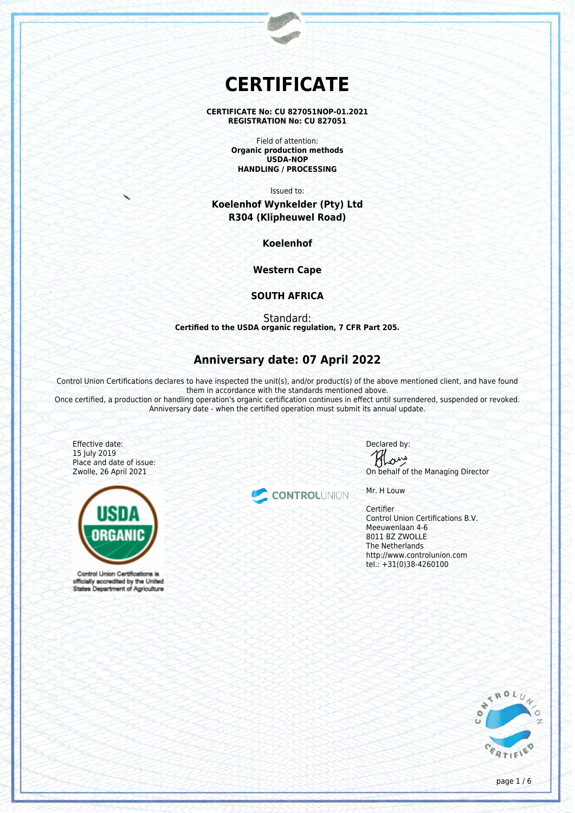# **CERTIFICATE**

**CERTIFICATE No: CU 827051NOP-01.2021 REGISTRATION No: CU 827051**

> Field of attention: **Organic production methods USDA-NOP HANDLING / PROCESSING**

> > Issued to:

**Koelenhof Wynkelder (Pty) Ltd R304 (Klipheuwel Road)**

**Koelenhof**

**Western Cape**

## **SOUTH AFRICA**

Standard: **Certified to the USDA organic regulation, 7 CFR Part 205.**

## **Anniversary date: 07 April 2022**

Control Union Certifications declares to have inspected the unit(s), and/or product(s) of the above mentioned client, and have found them in accordance with the standards mentioned above.

Once certified, a production or handling operation's organic certification continues in effect until surrendered, suspended or revoked. Anniversary date - when the certified operation must submit its annual update.

Effective date: 15 July 2019 Place and date of issue: Zwolle, 26 April 2021



Control Union Certifications is officially accredited by the United States Department of Agriculture

CONTROLUNION

Declared by: ana

On behalf of the Managing Director

Mr. H Louw

**Certifier** Control Union Certifications B.V. Meeuwenlaan 4-6 8011 BZ ZWOLLE The Netherlands http://www.controlunion.com tel.: +31(0)38-4260100



page 1 / 6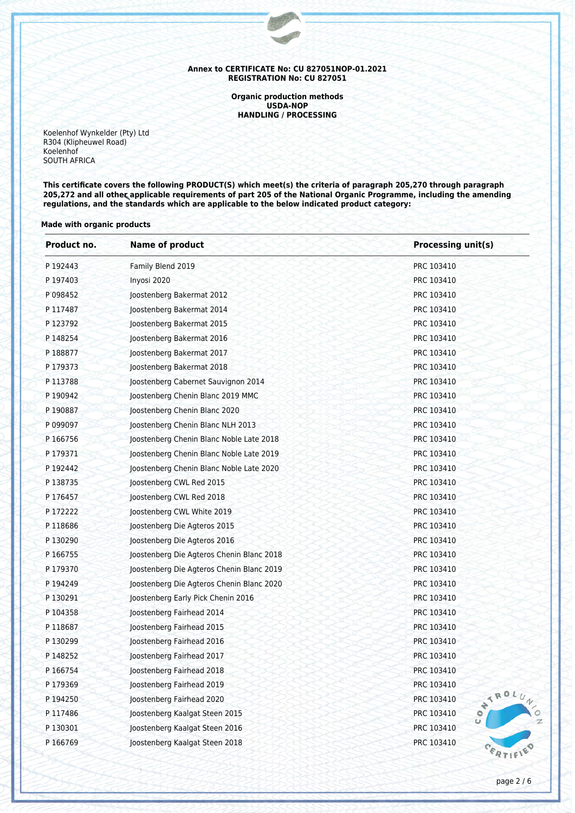**Organic production methods USDA-NOP HANDLING / PROCESSING**

Koelenhof Wynkelder (Pty) Ltd R304 (Klipheuwel Road) Koelenhof SOUTH AFRICA

**This certificate covers the following PRODUCT(S) which meet(s) the criteria of paragraph 205,270 through paragraph 205,272 and all other applicable requirements of part 205 of the National Organic Programme, including the amending regulations, and the standards which are applicable to the below indicated product category:**

#### **Made with organic products**

| Product no.                   | <b>Name of product</b>                    | <b>Processing unit(s)</b>             |  |
|-------------------------------|-------------------------------------------|---------------------------------------|--|
| Family Blend 2019<br>P 192443 |                                           | PRC 103410                            |  |
| P 197403                      | Inyosi 2020                               | PRC 103410                            |  |
| P 098452                      | Joostenberg Bakermat 2012                 | PRC 103410                            |  |
| P 117487                      | Joostenberg Bakermat 2014                 | PRC 103410                            |  |
| P 123792                      | Joostenberg Bakermat 2015                 | PRC 103410                            |  |
| P 148254                      | Joostenberg Bakermat 2016                 | PRC 103410                            |  |
| P 188877                      | Joostenberg Bakermat 2017                 | PRC 103410                            |  |
| P 179373                      | Joostenberg Bakermat 2018                 | PRC 103410                            |  |
| P 113788                      | Joostenberg Cabernet Sauvignon 2014       | PRC 103410                            |  |
| P 190942                      | Joostenberg Chenin Blanc 2019 MMC         | PRC 103410                            |  |
| P 190887                      | Joostenberg Chenin Blanc 2020             | PRC 103410                            |  |
| P 099097                      | Joostenberg Chenin Blanc NLH 2013         | PRC 103410                            |  |
| P 166756                      | Joostenberg Chenin Blanc Noble Late 2018  | PRC 103410                            |  |
| P 179371                      | Joostenberg Chenin Blanc Noble Late 2019  | PRC 103410                            |  |
| P 192442                      | Joostenberg Chenin Blanc Noble Late 2020  | PRC 103410                            |  |
| P 138735                      | Joostenberg CWL Red 2015                  | PRC 103410                            |  |
| P 176457                      | Joostenberg CWL Red 2018                  | PRC 103410                            |  |
| P 172222                      | Joostenberg CWL White 2019                | PRC 103410                            |  |
| P 118686                      | Joostenberg Die Agteros 2015              | PRC 103410                            |  |
| P 130290                      | Joostenberg Die Agteros 2016              | PRC 103410                            |  |
| P 166755                      | Joostenberg Die Agteros Chenin Blanc 2018 | PRC 103410                            |  |
| P 179370                      | Joostenberg Die Agteros Chenin Blanc 2019 | PRC 103410                            |  |
| P 194249                      | Joostenberg Die Agteros Chenin Blanc 2020 | PRC 103410                            |  |
| P 130291                      | Joostenberg Early Pick Chenin 2016        | PRC 103410                            |  |
| P 104358                      | Joostenberg Fairhead 2014                 | PRC 103410                            |  |
| P 118687                      | Joostenberg Fairhead 2015                 | PRC 103410                            |  |
| P 130299                      | Joostenberg Fairhead 2016                 | PRC 103410                            |  |
| P 148252                      | Joostenberg Fairhead 2017                 | PRC 103410                            |  |
| P 166754                      | Joostenberg Fairhead 2018                 | PRC 103410                            |  |
| P 179369                      | Joostenberg Fairhead 2019                 | PRC 103410                            |  |
| P 194250                      | Joostenberg Fairhead 2020                 | WIROLU<br>PRC 103410                  |  |
| P 117486                      | Joostenberg Kaalgat Steen 2015            | PRC 103410<br>$\mathsf{c}_\mathsf{I}$ |  |
| P130301                       | Joostenberg Kaalgat Steen 2016            | PRC 103410                            |  |
| P 166769                      | Joostenberg Kaalgat Steen 2018            | PRC 103410                            |  |

 $\overline{z}$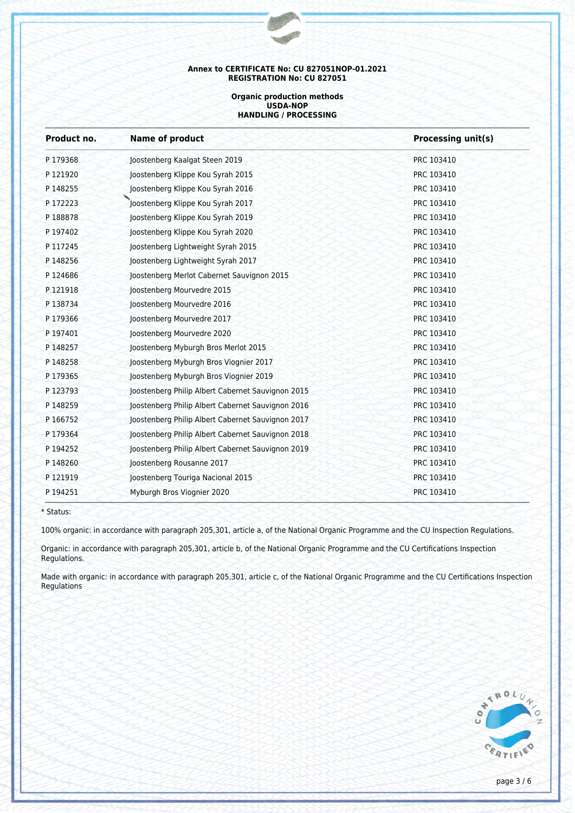#### **Organic production methods USDA-NOP HANDLING / PROCESSING**

| <b>Name of product</b>                            | <b>Processing unit(s)</b> |  |
|---------------------------------------------------|---------------------------|--|
| Joostenberg Kaalgat Steen 2019                    | PRC 103410                |  |
| Joostenberg Klippe Kou Syrah 2015                 | PRC 103410                |  |
| Joostenberg Klippe Kou Syrah 2016                 | PRC 103410                |  |
| Joostenberg Klippe Kou Syrah 2017                 | PRC 103410                |  |
| Joostenberg Klippe Kou Syrah 2019                 | PRC 103410                |  |
| Joostenberg Klippe Kou Syrah 2020                 | PRC 103410                |  |
| Joostenberg Lightweight Syrah 2015                | PRC 103410                |  |
| Joostenberg Lightweight Syrah 2017                | PRC 103410                |  |
| Joostenberg Merlot Cabernet Sauvignon 2015        | PRC 103410                |  |
| Joostenberg Mourvedre 2015                        | PRC 103410                |  |
| Joostenberg Mourvedre 2016                        | PRC 103410                |  |
| loostenberg Mourvedre 2017                        | PRC 103410                |  |
| Joostenberg Mourvedre 2020                        | PRC 103410                |  |
| Joostenberg Myburgh Bros Merlot 2015              | PRC 103410                |  |
| Joostenberg Myburgh Bros Viognier 2017            | PRC 103410                |  |
| Joostenberg Myburgh Bros Viognier 2019            | PRC 103410                |  |
| Joostenberg Philip Albert Cabernet Sauvignon 2015 | PRC 103410                |  |
| Joostenberg Philip Albert Cabernet Sauvignon 2016 | PRC 103410                |  |
| Joostenberg Philip Albert Cabernet Sauvignon 2017 | PRC 103410                |  |
| Joostenberg Philip Albert Cabernet Sauvignon 2018 | PRC 103410                |  |
| Joostenberg Philip Albert Cabernet Sauvignon 2019 | PRC 103410                |  |
| Joostenberg Rousanne 2017                         | PRC 103410                |  |
| Joostenberg Touriga Nacional 2015                 | PRC 103410                |  |
| Myburgh Bros Viognier 2020                        | PRC 103410                |  |
|                                                   |                           |  |

\* Status:

100% organic: in accordance with paragraph 205,301, article a, of the National Organic Programme and the CU Inspection Regulations.

Organic: in accordance with paragraph 205,301, article b, of the National Organic Programme and the CU Certifications Inspection Regulations.

Made with organic: in accordance with paragraph 205,301, article c, of the National Organic Programme and the CU Certifications Inspection Regulations

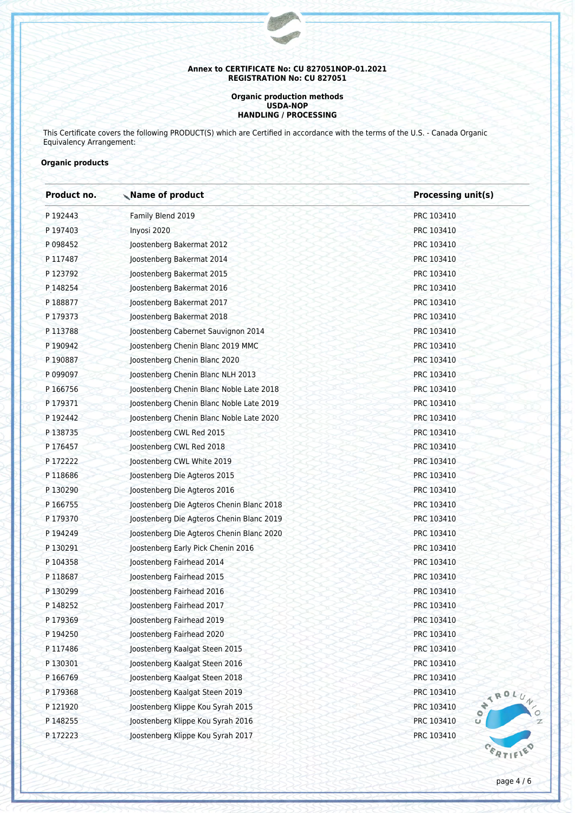#### **Organic production methods USDA-NOP HANDLING / PROCESSING**

This Certificate covers the following PRODUCT(S) which are Certified in accordance with the terms of the U.S. - Canada Organic Equivalency Arrangement:

## **Organic products**

| Product no. | Name of product                              | <b>Processing unit(s)</b> |  |
|-------------|----------------------------------------------|---------------------------|--|
| P 192443    | Family Blend 2019                            | PRC 103410                |  |
| P 197403    | Inyosi 2020                                  | PRC 103410                |  |
| P 098452    | Joostenberg Bakermat 2012                    | PRC 103410                |  |
| P 117487    | Joostenberg Bakermat 2014                    | PRC 103410                |  |
| P 123792    | Joostenberg Bakermat 2015                    | PRC 103410                |  |
| P 148254    | Joostenberg Bakermat 2016                    | PRC 103410                |  |
| P 188877    | Joostenberg Bakermat 2017                    | PRC 103410                |  |
| P 179373    | Joostenberg Bakermat 2018                    | PRC 103410                |  |
| P 113788    | Joostenberg Cabernet Sauvignon 2014          | PRC 103410                |  |
| P 190942    | Joostenberg Chenin Blanc 2019 MMC            | PRC 103410                |  |
| P 190887    | Joostenberg Chenin Blanc 2020                | PRC 103410                |  |
| P 099097    | Joostenberg Chenin Blanc NLH 2013            | PRC 103410                |  |
| P 166756    | Joostenberg Chenin Blanc Noble Late 2018     | PRC 103410                |  |
| P 179371    | Joostenberg Chenin Blanc Noble Late 2019     | PRC 103410                |  |
| P 192442    | Joostenberg Chenin Blanc Noble Late 2020     | PRC 103410                |  |
| P138735     | Joostenberg CWL Red 2015                     | PRC 103410                |  |
| P 176457    | Joostenberg CWL Red 2018                     | PRC 103410                |  |
| P 172222    | Joostenberg CWL White 2019                   | PRC 103410                |  |
| P 118686    | Joostenberg Die Agteros 2015                 | PRC 103410                |  |
| P130290     | Joostenberg Die Agteros 2016                 | PRC 103410                |  |
| P 166755    | Joostenberg Die Agteros Chenin Blanc 2018    | PRC 103410                |  |
| P 179370    | Joostenberg Die Agteros Chenin Blanc 2019    | PRC 103410                |  |
| P 194249    | Joostenberg Die Agteros Chenin Blanc 2020    | PRC 103410                |  |
| P 130291    | Joostenberg Early Pick Chenin 2016           | PRC 103410                |  |
| P 104358    | Joostenberg Fairhead 2014                    | PRC 103410                |  |
| P 118687    | Joostenberg Fairhead 2015                    | PRC 103410                |  |
| P130299     | Joostenberg Fairhead 2016                    | PRC 103410                |  |
| P 148252    | Joostenberg Fairhead 2017                    | PRC 103410                |  |
| P179369     | Joostenberg Fairhead 2019                    | PRC 103410                |  |
| P 194250    | Joostenberg Fairhead 2020                    | PRC 103410                |  |
| P117486     | PRC 103410<br>Joostenberg Kaalgat Steen 2015 |                           |  |
| P 130301    | Joostenberg Kaalgat Steen 2016<br>PRC 103410 |                           |  |
| P 166769    | PRC 103410<br>Joostenberg Kaalgat Steen 2018 |                           |  |
| P179368     | Joostenberg Kaalgat Steen 2019               | PRC 103410<br>WIRDLU      |  |
| P 121920    | Joostenberg Klippe Kou Syrah 2015            | PRC 103410                |  |
| P 148255    | Joostenberg Klippe Kou Syrah 2016            | PRC 103410                |  |
| P 172223    | Joostenberg Klippe Kou Syrah 2017            | PRC 103410                |  |
|             |                                              |                           |  |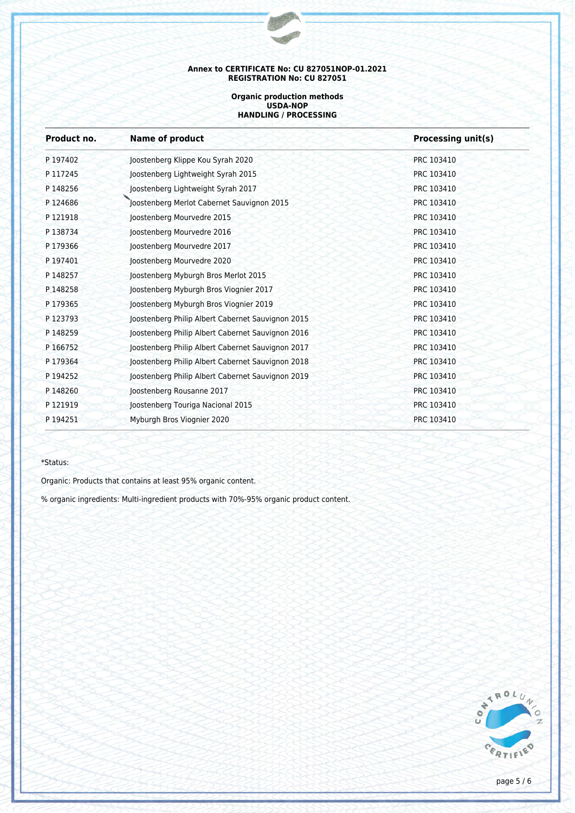#### **Organic production methods USDA-NOP HANDLING / PROCESSING**

| Product no. | <b>Name of product</b>                            | <b>Processing unit(s)</b> |  |
|-------------|---------------------------------------------------|---------------------------|--|
| P 197402    | Joostenberg Klippe Kou Syrah 2020                 | PRC 103410                |  |
| P 117245    | Joostenberg Lightweight Syrah 2015                | PRC 103410                |  |
| P 148256    | Joostenberg Lightweight Syrah 2017                | PRC 103410                |  |
| P124686     | Joostenberg Merlot Cabernet Sauvignon 2015        | PRC 103410                |  |
| P 121918    | Joostenberg Mourvedre 2015                        | PRC 103410                |  |
| P 138734    | Joostenberg Mourvedre 2016                        | PRC 103410                |  |
| P179366     | Joostenberg Mourvedre 2017                        | PRC 103410                |  |
| P 197401    | Joostenberg Mourvedre 2020                        | PRC 103410                |  |
| P 148257    | Joostenberg Myburgh Bros Merlot 2015              | PRC 103410                |  |
| P.148258    | Joostenberg Myburgh Bros Viognier 2017            | PRC 103410                |  |
| P179365     | Joostenberg Myburgh Bros Viognier 2019            | PRC 103410                |  |
| P 123793    | Joostenberg Philip Albert Cabernet Sauvignon 2015 | PRC 103410                |  |
| P 148259    | Joostenberg Philip Albert Cabernet Sauvignon 2016 | PRC 103410                |  |
| P 166752    | Joostenberg Philip Albert Cabernet Sauvignon 2017 | PRC 103410                |  |
| P 179364    | Joostenberg Philip Albert Cabernet Sauvignon 2018 | PRC 103410                |  |
| P 194252    | Joostenberg Philip Albert Cabernet Sauvignon 2019 | PRC 103410                |  |
| P 148260    | Joostenberg Rousanne 2017                         | PRC 103410                |  |
| P 121919    | Joostenberg Touriga Nacional 2015                 | PRC 103410                |  |
| P 194251    | Myburgh Bros Viognier 2020                        | PRC 103410                |  |

## \*Status:

Organic: Products that contains at least 95% organic content.

% organic ingredients: Multi-ingredient products with 70%-95% organic product content.